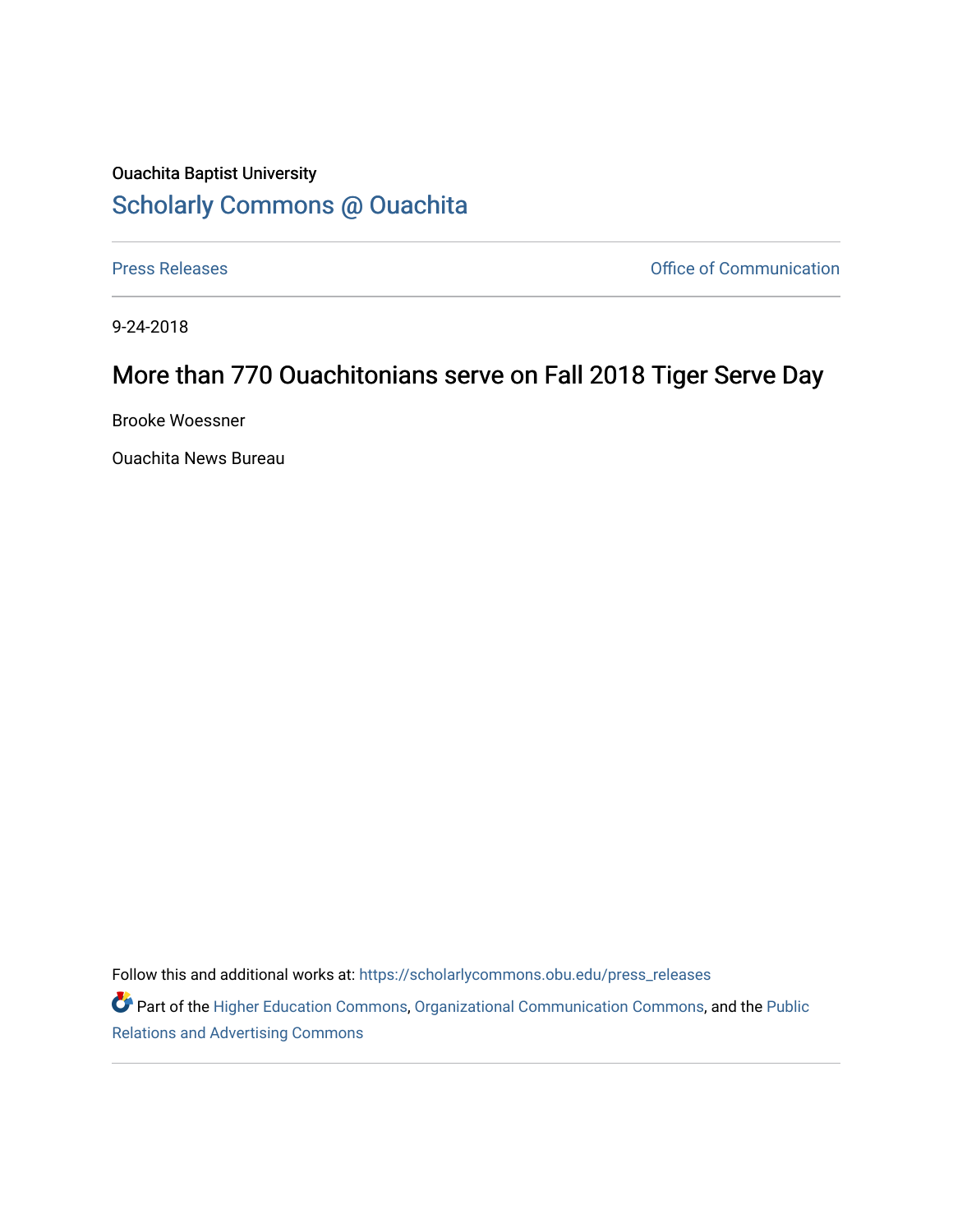## Ouachita Baptist University [Scholarly Commons @ Ouachita](https://scholarlycommons.obu.edu/)

[Press Releases](https://scholarlycommons.obu.edu/press_releases) **Press Releases Communication** 

9-24-2018

## More than 770 Ouachitonians serve on Fall 2018 Tiger Serve Day

Brooke Woessner

Ouachita News Bureau

Follow this and additional works at: [https://scholarlycommons.obu.edu/press\\_releases](https://scholarlycommons.obu.edu/press_releases?utm_source=scholarlycommons.obu.edu%2Fpress_releases%2F803&utm_medium=PDF&utm_campaign=PDFCoverPages)

Part of the [Higher Education Commons,](http://network.bepress.com/hgg/discipline/1245?utm_source=scholarlycommons.obu.edu%2Fpress_releases%2F803&utm_medium=PDF&utm_campaign=PDFCoverPages) [Organizational Communication Commons,](http://network.bepress.com/hgg/discipline/335?utm_source=scholarlycommons.obu.edu%2Fpress_releases%2F803&utm_medium=PDF&utm_campaign=PDFCoverPages) and the [Public](http://network.bepress.com/hgg/discipline/336?utm_source=scholarlycommons.obu.edu%2Fpress_releases%2F803&utm_medium=PDF&utm_campaign=PDFCoverPages) [Relations and Advertising Commons](http://network.bepress.com/hgg/discipline/336?utm_source=scholarlycommons.obu.edu%2Fpress_releases%2F803&utm_medium=PDF&utm_campaign=PDFCoverPages)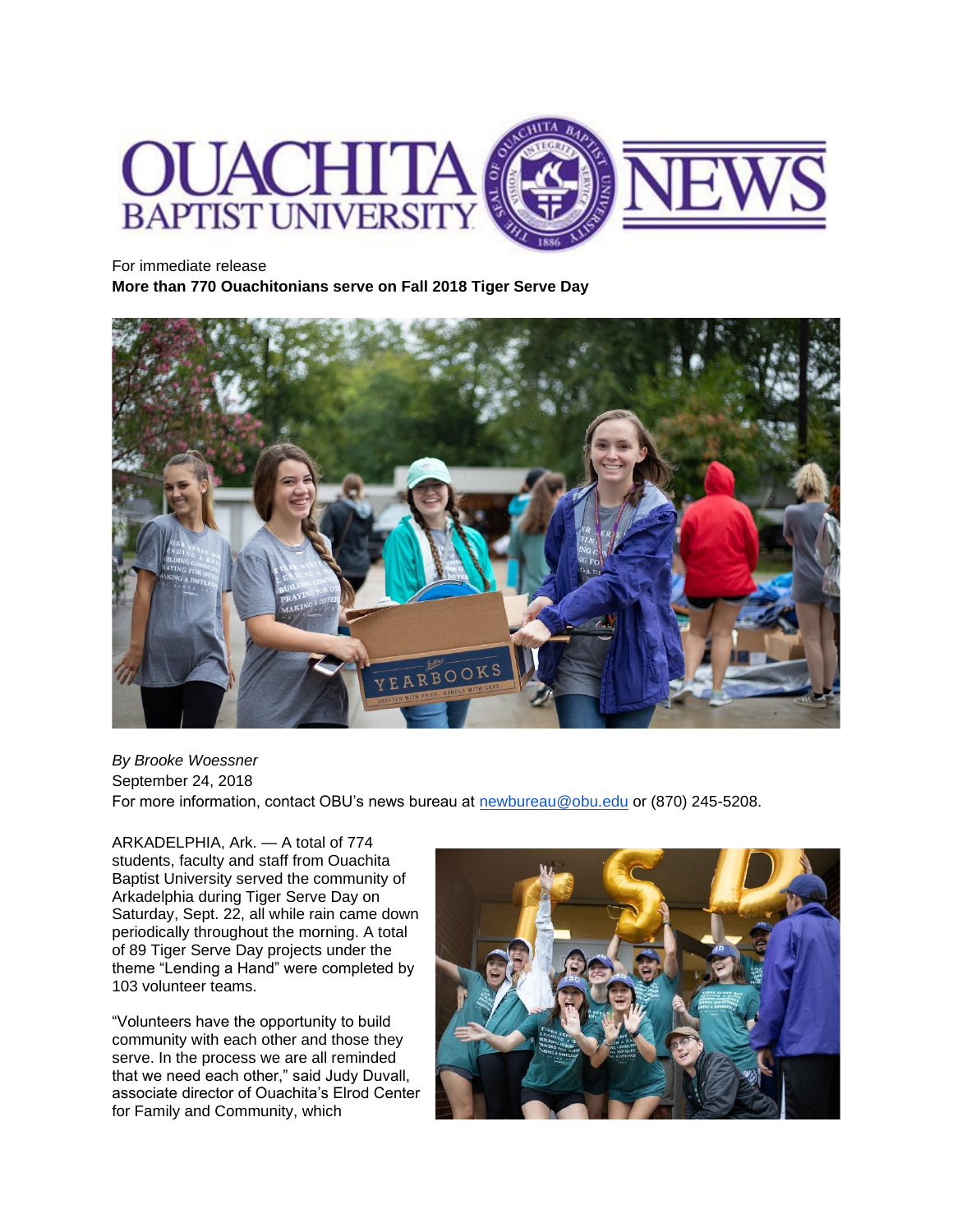

For immediate release

**More than 770 Ouachitonians serve on Fall 2018 Tiger Serve Day**



*By Brooke Woessner* September 24, 2018 For more information, contact OBU's news bureau at [newbureau@obu.edu](mailto:newbureau@obu.edu) or (870) 245-5208.

ARKADELPHIA, Ark. — A total of 774 students, faculty and staff from Ouachita Baptist University served the community of Arkadelphia during Tiger Serve Day on Saturday, Sept. 22, all while rain came down periodically throughout the morning. A total of 89 Tiger Serve Day projects under the theme "Lending a Hand" were completed by 103 volunteer teams.

"Volunteers have the opportunity to build community with each other and those they serve. In the process we are all reminded that we need each other," said Judy Duvall, associate director of Ouachita's Elrod Center for Family and Community, which